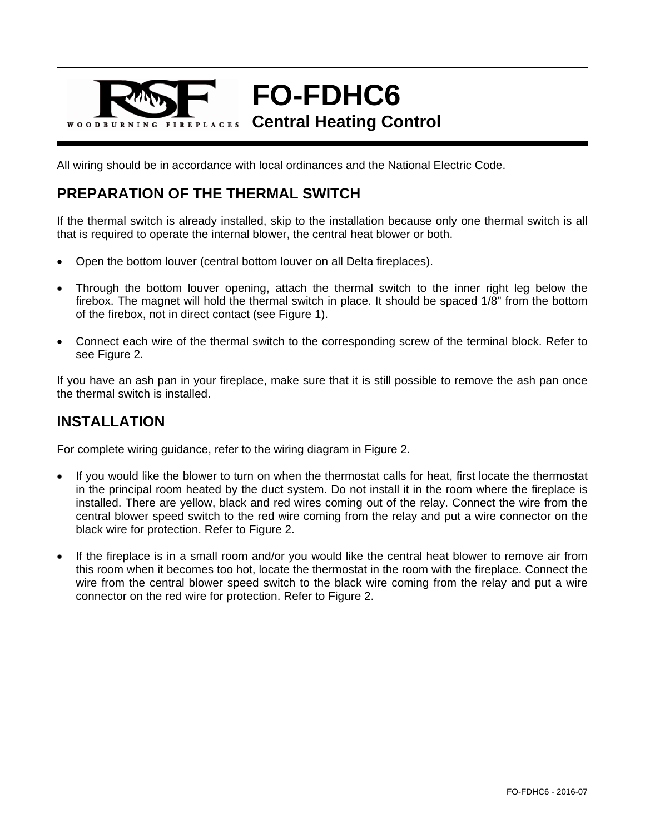

All wiring should be in accordance with local ordinances and the National Electric Code.

## **PREPARATION OF THE THERMAL SWITCH**

If the thermal switch is already installed, skip to the installation because only one thermal switch is all that is required to operate the internal blower, the central heat blower or both.

- Open the bottom louver (central bottom louver on all Delta fireplaces).
- Through the bottom louver opening, attach the thermal switch to the inner right leg below the firebox. The magnet will hold the thermal switch in place. It should be spaced 1/8" from the bottom of the firebox, not in direct contact (see Figure 1).
- Connect each wire of the thermal switch to the corresponding screw of the terminal block. Refer to see Figure 2.

If you have an ash pan in your fireplace, make sure that it is still possible to remove the ash pan once the thermal switch is installed.

## **INSTALLATION**

For complete wiring guidance, refer to the wiring diagram in Figure 2.

- If you would like the blower to turn on when the thermostat calls for heat, first locate the thermostat in the principal room heated by the duct system. Do not install it in the room where the fireplace is installed. There are yellow, black and red wires coming out of the relay. Connect the wire from the central blower speed switch to the red wire coming from the relay and put a wire connector on the black wire for protection. Refer to Figure 2.
- If the fireplace is in a small room and/or you would like the central heat blower to remove air from this room when it becomes too hot, locate the thermostat in the room with the fireplace. Connect the wire from the central blower speed switch to the black wire coming from the relay and put a wire connector on the red wire for protection. Refer to Figure 2.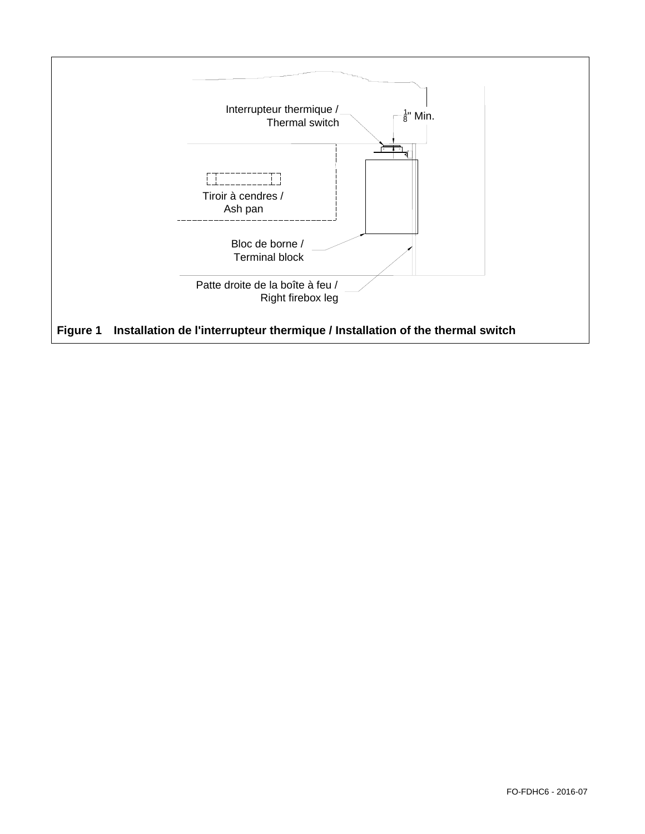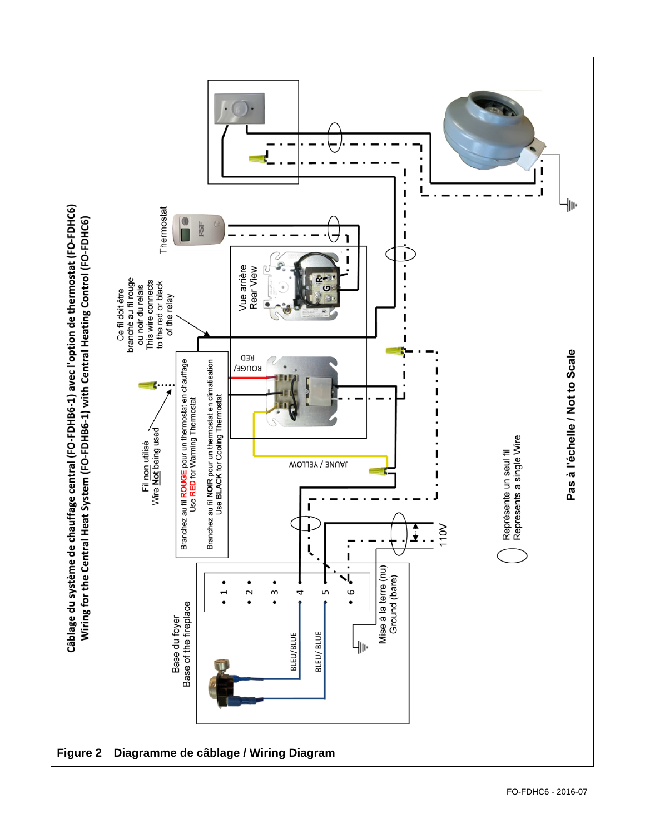